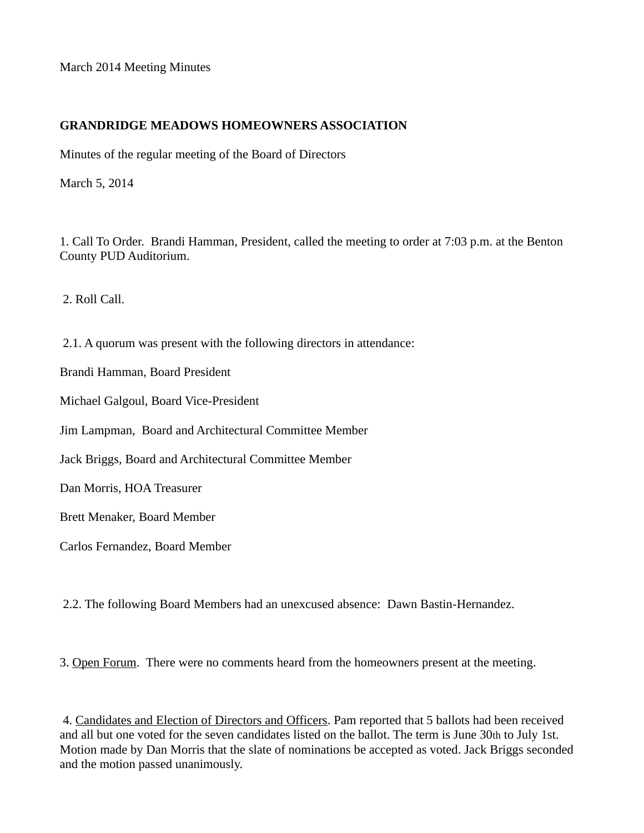March 2014 Meeting Minutes

## **GRANDRIDGE MEADOWS HOMEOWNERS ASSOCIATION**

Minutes of the regular meeting of the Board of Directors

March 5, 2014

1. Call To Order. Brandi Hamman, President, called the meeting to order at 7:03 p.m. at the Benton County PUD Auditorium.

2. Roll Call.

2.1. A quorum was present with the following directors in attendance:

Brandi Hamman, Board President

Michael Galgoul, Board Vice-President

Jim Lampman, Board and Architectural Committee Member

Jack Briggs, Board and Architectural Committee Member

Dan Morris, HOA Treasurer

Brett Menaker, Board Member

Carlos Fernandez, Board Member

2.2. The following Board Members had an unexcused absence: Dawn Bastin-Hernandez.

3. Open Forum. There were no comments heard from the homeowners present at the meeting.

4. Candidates and Election of Directors and Officers. Pam reported that 5 ballots had been received and all but one voted for the seven candidates listed on the ballot. The term is June 30th to July 1st. Motion made by Dan Morris that the slate of nominations be accepted as voted. Jack Briggs seconded and the motion passed unanimously.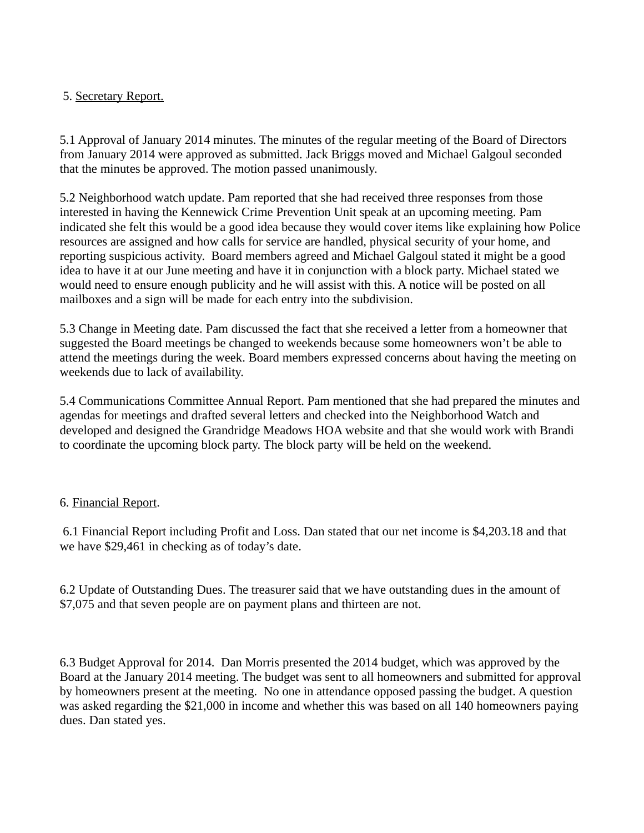# 5. Secretary Report.

5.1 Approval of January 2014 minutes. The minutes of the regular meeting of the Board of Directors from January 2014 were approved as submitted. Jack Briggs moved and Michael Galgoul seconded that the minutes be approved. The motion passed unanimously.

5.2 Neighborhood watch update. Pam reported that she had received three responses from those interested in having the Kennewick Crime Prevention Unit speak at an upcoming meeting. Pam indicated she felt this would be a good idea because they would cover items like explaining how Police resources are assigned and how calls for service are handled, physical security of your home, and reporting suspicious activity. Board members agreed and Michael Galgoul stated it might be a good idea to have it at our June meeting and have it in conjunction with a block party. Michael stated we would need to ensure enough publicity and he will assist with this. A notice will be posted on all mailboxes and a sign will be made for each entry into the subdivision.

5.3 Change in Meeting date. Pam discussed the fact that she received a letter from a homeowner that suggested the Board meetings be changed to weekends because some homeowners won't be able to attend the meetings during the week. Board members expressed concerns about having the meeting on weekends due to lack of availability.

5.4 Communications Committee Annual Report. Pam mentioned that she had prepared the minutes and agendas for meetings and drafted several letters and checked into the Neighborhood Watch and developed and designed the Grandridge Meadows HOA website and that she would work with Brandi to coordinate the upcoming block party. The block party will be held on the weekend.

# 6. Financial Report.

6.1 Financial Report including Profit and Loss. Dan stated that our net income is \$4,203.18 and that we have \$29,461 in checking as of today's date.

6.2 Update of Outstanding Dues. The treasurer said that we have outstanding dues in the amount of \$7,075 and that seven people are on payment plans and thirteen are not.

6.3 Budget Approval for 2014. Dan Morris presented the 2014 budget, which was approved by the Board at the January 2014 meeting. The budget was sent to all homeowners and submitted for approval by homeowners present at the meeting. No one in attendance opposed passing the budget. A question was asked regarding the \$21,000 in income and whether this was based on all 140 homeowners paying dues. Dan stated yes.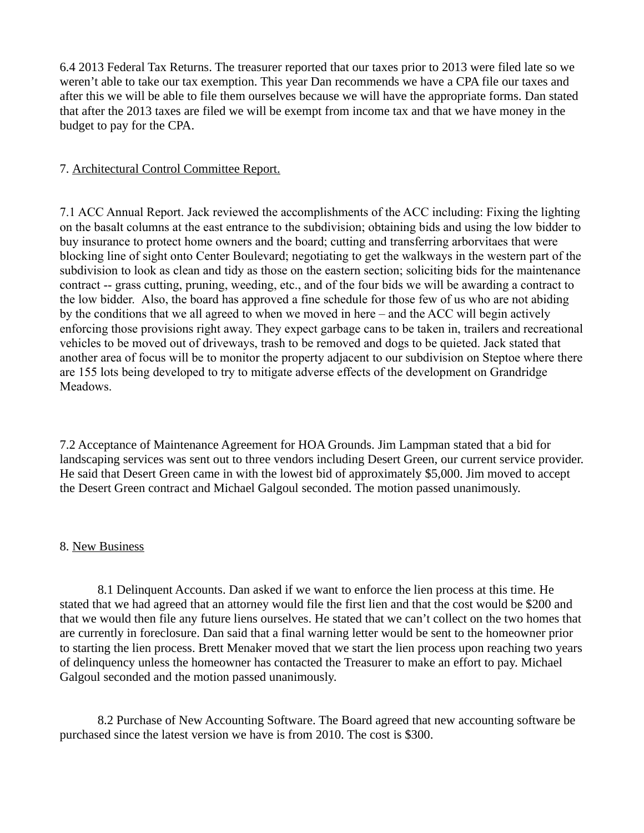6.4 2013 Federal Tax Returns. The treasurer reported that our taxes prior to 2013 were filed late so we weren't able to take our tax exemption. This year Dan recommends we have a CPA file our taxes and after this we will be able to file them ourselves because we will have the appropriate forms. Dan stated that after the 2013 taxes are filed we will be exempt from income tax and that we have money in the budget to pay for the CPA.

## 7. Architectural Control Committee Report.

7.1 ACC Annual Report. Jack reviewed the accomplishments of the ACC including: Fixing the lighting on the basalt columns at the east entrance to the subdivision; obtaining bids and using the low bidder to buy insurance to protect home owners and the board; cutting and transferring arborvitaes that were blocking line of sight onto Center Boulevard; negotiating to get the walkways in the western part of the subdivision to look as clean and tidy as those on the eastern section; soliciting bids for the maintenance contract -- grass cutting, pruning, weeding, etc., and of the four bids we will be awarding a contract to the low bidder. Also, the board has approved a fine schedule for those few of us who are not abiding by the conditions that we all agreed to when we moved in here – and the ACC will begin actively enforcing those provisions right away. They expect garbage cans to be taken in, trailers and recreational vehicles to be moved out of driveways, trash to be removed and dogs to be quieted. Jack stated that another area of focus will be to monitor the property adjacent to our subdivision on Steptoe where there are 155 lots being developed to try to mitigate adverse effects of the development on Grandridge Meadows.

7.2 Acceptance of Maintenance Agreement for HOA Grounds. Jim Lampman stated that a bid for landscaping services was sent out to three vendors including Desert Green, our current service provider. He said that Desert Green came in with the lowest bid of approximately \$5,000. Jim moved to accept the Desert Green contract and Michael Galgoul seconded. The motion passed unanimously.

### 8. New Business

8.1 Delinquent Accounts. Dan asked if we want to enforce the lien process at this time. He stated that we had agreed that an attorney would file the first lien and that the cost would be \$200 and that we would then file any future liens ourselves. He stated that we can't collect on the two homes that are currently in foreclosure. Dan said that a final warning letter would be sent to the homeowner prior to starting the lien process. Brett Menaker moved that we start the lien process upon reaching two years of delinquency unless the homeowner has contacted the Treasurer to make an effort to pay. Michael Galgoul seconded and the motion passed unanimously.

8.2 Purchase of New Accounting Software. The Board agreed that new accounting software be purchased since the latest version we have is from 2010. The cost is \$300.